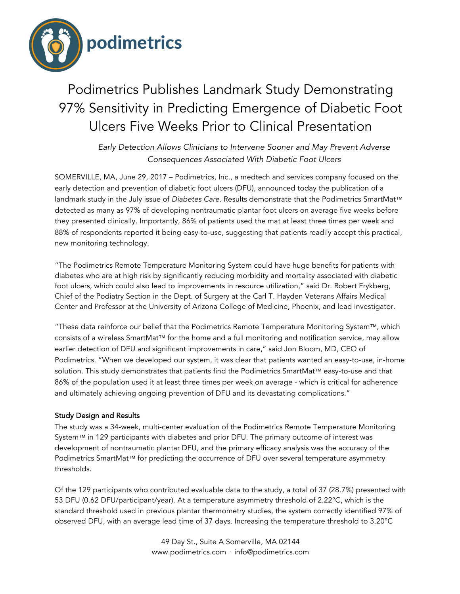

# Podimetrics Publishes Landmark Study Demonstrating 97% Sensitivity in Predicting Emergence of Diabetic Foot Ulcers Five Weeks Prior to Clinical Presentation

*Early Detection Allows Clinicians to Intervene Sooner and May Prevent Adverse Consequences Associated With Diabetic Foot Ulcers*

SOMERVILLE, MA, June 29, 2017 – Podimetrics, Inc., a medtech and services company focused on the early detection and prevention of diabetic foot ulcers (DFU), announced today the publication of a landmark study in the July issue of *Diabetes Care*. Results demonstrate that the Podimetrics SmartMat™ detected as many as 97% of developing nontraumatic plantar foot ulcers on average five weeks before they presented clinically. Importantly, 86% of patients used the mat at least three times per week and 88% of respondents reported it being easy-to-use, suggesting that patients readily accept this practical, new monitoring technology.

"The Podimetrics Remote Temperature Monitoring System could have huge benefits for patients with diabetes who are at high risk by significantly reducing morbidity and mortality associated with diabetic foot ulcers, which could also lead to improvements in resource utilization," said Dr. Robert Frykberg, Chief of the Podiatry Section in the Dept. of Surgery at the Carl T. Hayden Veterans Affairs Medical Center and Professor at the University of Arizona College of Medicine, Phoenix, and lead investigator.

"These data reinforce our belief that the Podimetrics Remote Temperature Monitoring System™, which consists of a wireless SmartMat™ for the home and a full monitoring and notification service, may allow earlier detection of DFU and significant improvements in care," said Jon Bloom, MD, CEO of Podimetrics. "When we developed our system, it was clear that patients wanted an easy-to-use, in-home solution. This study demonstrates that patients find the Podimetrics SmartMat™ easy-to-use and that 86% of the population used it at least three times per week on average - which is critical for adherence and ultimately achieving ongoing prevention of DFU and its devastating complications."

## Study Design and Results

The study was a 34-week, multi-center evaluation of the Podimetrics Remote Temperature Monitoring System™ in 129 participants with diabetes and prior DFU. The primary outcome of interest was development of nontraumatic plantar DFU, and the primary efficacy analysis was the accuracy of the Podimetrics SmartMat™ for predicting the occurrence of DFU over several temperature asymmetry thresholds.

Of the 129 participants who contributed evaluable data to the study, a total of 37 (28.7%) presented with 53 DFU (0.62 DFU/participant/year). At a temperature asymmetry threshold of 2.22°C, which is the standard threshold used in previous plantar thermometry studies, the system correctly identified 97% of observed DFU, with an average lead time of 37 days. Increasing the temperature threshold to 3.20°C

> 49 Day St., Suite A Somerville, MA 02144 www.podimetrics.com ⋅ info@podimetrics.com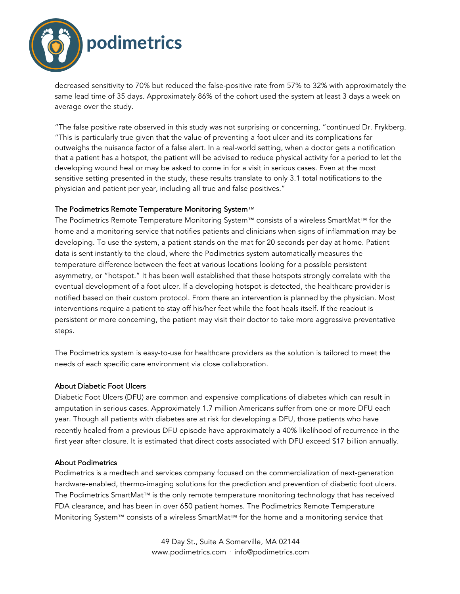

decreased sensitivity to 70% but reduced the false-positive rate from 57% to 32% with approximately the same lead time of 35 days. Approximately 86% of the cohort used the system at least 3 days a week on average over the study.

"The false positive rate observed in this study was not surprising or concerning, "continued Dr. Frykberg. "This is particularly true given that the value of preventing a foot ulcer and its complications far outweighs the nuisance factor of a false alert. In a real-world setting, when a doctor gets a notification that a patient has a hotspot, the patient will be advised to reduce physical activity for a period to let the developing wound heal or may be asked to come in for a visit in serious cases. Even at the most sensitive setting presented in the study, these results translate to only 3.1 total notifications to the physician and patient per year, including all true and false positives."

### The Podimetrics Remote Temperature Monitoring System™

The Podimetrics Remote Temperature Monitoring System™ consists of a wireless SmartMat™ for the home and a monitoring service that notifies patients and clinicians when signs of inflammation may be developing. To use the system, a patient stands on the mat for 20 seconds per day at home. Patient data is sent instantly to the cloud, where the Podimetrics system automatically measures the temperature difference between the feet at various locations looking for a possible persistent asymmetry, or "hotspot." It has been well established that these hotspots strongly correlate with the eventual development of a foot ulcer. If a developing hotspot is detected, the healthcare provider is notified based on their custom protocol. From there an intervention is planned by the physician. Most interventions require a patient to stay off his/her feet while the foot heals itself. If the readout is persistent or more concerning, the patient may visit their doctor to take more aggressive preventative steps.

The Podimetrics system is easy-to-use for healthcare providers as the solution is tailored to meet the needs of each specific care environment via close collaboration.

### About Diabetic Foot Ulcers

Diabetic Foot Ulcers (DFU) are common and expensive complications of diabetes which can result in amputation in serious cases. Approximately 1.7 million Americans suffer from one or more DFU each year. Though all patients with diabetes are at risk for developing a DFU, those patients who have recently healed from a previous DFU episode have approximately a 40% likelihood of recurrence in the first year after closure. It is estimated that direct costs associated with DFU exceed \$17 billion annually.

### About Podimetrics

Podimetrics is a medtech and services company focused on the commercialization of next-generation hardware-enabled, thermo-imaging solutions for the prediction and prevention of diabetic foot ulcers. The Podimetrics SmartMat™ is the only remote temperature monitoring technology that has received FDA clearance, and has been in over 650 patient homes. The Podimetrics Remote Temperature Monitoring System™ consists of a wireless SmartMat™ for the home and a monitoring service that

> 49 Day St., Suite A Somerville, MA 02144 www.podimetrics.com ⋅ info@podimetrics.com